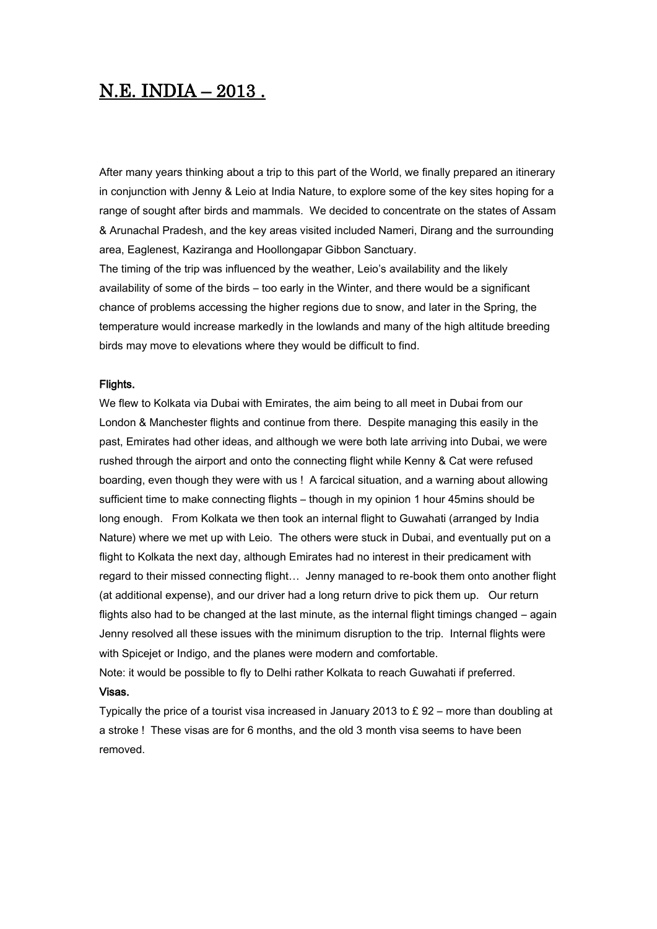# N.E. INDIA – 2013 .

After many years thinking about a trip to this part of the World, we finally prepared an itinerary in conjunction with Jenny & Leio at India Nature, to explore some of the key sites hoping for a range of sought after birds and mammals. We decided to concentrate on the states of Assam & Arunachal Pradesh, and the key areas visited included Nameri, Dirang and the surrounding area, Eaglenest, Kaziranga and Hoollongapar Gibbon Sanctuary.

The timing of the trip was influenced by the weather, Leio's availability and the likely availability of some of the birds – too early in the Winter, and there would be a significant chance of problems accessing the higher regions due to snow, and later in the Spring, the temperature would increase markedly in the lowlands and many of the high altitude breeding birds may move to elevations where they would be difficult to find.

#### Flights.

We flew to Kolkata via Dubai with Emirates, the aim being to all meet in Dubai from our London & Manchester flights and continue from there. Despite managing this easily in the past, Emirates had other ideas, and although we were both late arriving into Dubai, we were rushed through the airport and onto the connecting flight while Kenny & Cat were refused boarding, even though they were with us ! A farcical situation, and a warning about allowing sufficient time to make connecting flights – though in my opinion 1 hour 45mins should be long enough. From Kolkata we then took an internal flight to Guwahati (arranged by India Nature) where we met up with Leio. The others were stuck in Dubai, and eventually put on a flight to Kolkata the next day, although Emirates had no interest in their predicament with regard to their missed connecting flight… Jenny managed to re-book them onto another flight (at additional expense), and our driver had a long return drive to pick them up. Our return flights also had to be changed at the last minute, as the internal flight timings changed – again Jenny resolved all these issues with the minimum disruption to the trip. Internal flights were with Spicejet or Indigo, and the planes were modern and comfortable.

Note: it would be possible to fly to Delhi rather Kolkata to reach Guwahati if preferred. Visas.

Typically the price of a tourist visa increased in January 2013 to  $E$  92 – more than doubling at a stroke ! These visas are for 6 months, and the old 3 month visa seems to have been removed.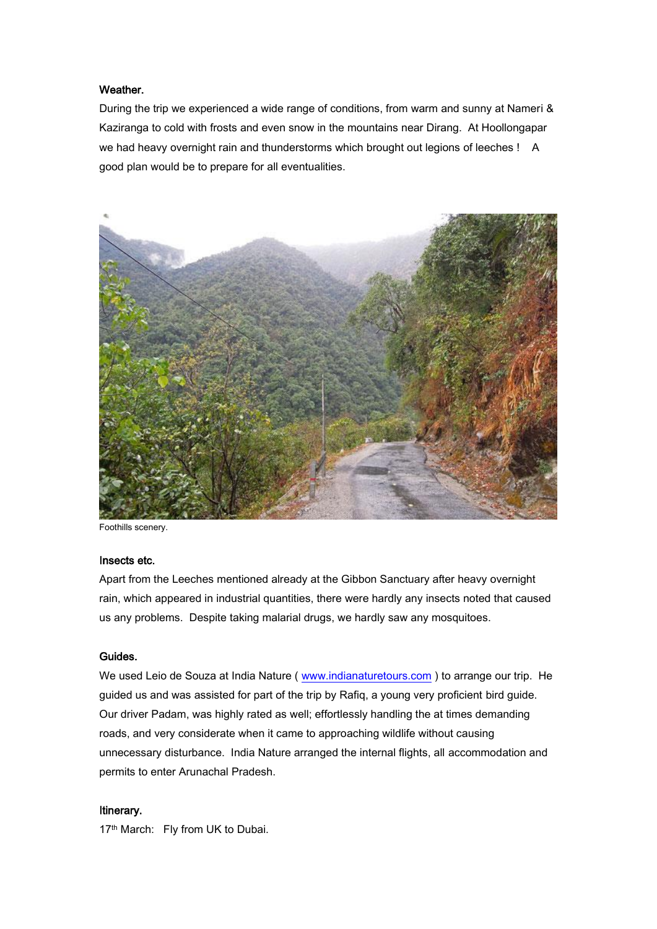### Weather.

During the trip we experienced a wide range of conditions, from warm and sunny at Nameri & Kaziranga to cold with frosts and even snow in the mountains near Dirang. At Hoollongapar we had heavy overnight rain and thunderstorms which brought out legions of leeches ! A good plan would be to prepare for all eventualities.



Foothills scenery.

#### Insects etc.

Apart from the Leeches mentioned already at the Gibbon Sanctuary after heavy overnight rain, which appeared in industrial quantities, there were hardly any insects noted that caused us any problems. Despite taking malarial drugs, we hardly saw any mosquitoes.

## Guides.

We used Leio de Souza at India Nature ( [www.indianaturetours.com](http://www.indianaturetours.com/) ) to arrange our trip. He guided us and was assisted for part of the trip by Rafiq, a young very proficient bird guide. Our driver Padam, was highly rated as well; effortlessly handling the at times demanding roads, and very considerate when it came to approaching wildlife without causing unnecessary disturbance. India Nature arranged the internal flights, all accommodation and permits to enter Arunachal Pradesh.

#### Itinerary.

17<sup>th</sup> March: Fly from UK to Dubai.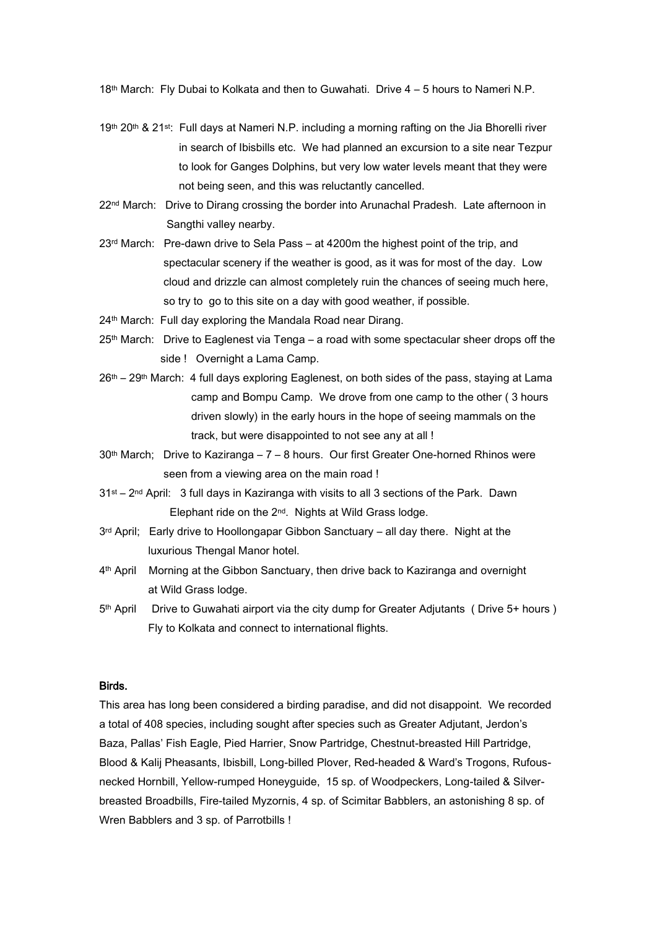18th March: Fly Dubai to Kolkata and then to Guwahati. Drive 4 – 5 hours to Nameri N.P.

- 19th 20th & 21st: Full days at Nameri N.P. including a morning rafting on the Jia Bhorelli river in search of Ibisbills etc. We had planned an excursion to a site near Tezpur to look for Ganges Dolphins, but very low water levels meant that they were not being seen, and this was reluctantly cancelled.
- 22<sup>nd</sup> March: Drive to Dirang crossing the border into Arunachal Pradesh. Late afternoon in Sangthi valley nearby.
- $23<sup>rd</sup>$  March: Pre-dawn drive to Sela Pass at 4200m the highest point of the trip, and spectacular scenery if the weather is good, as it was for most of the day. Low cloud and drizzle can almost completely ruin the chances of seeing much here, so try to go to this site on a day with good weather, if possible.
- 24<sup>th</sup> March: Full day exploring the Mandala Road near Dirang.
- 25<sup>th</sup> March: Drive to Eaglenest via Tenga a road with some spectacular sheer drops off the side ! Overnight a Lama Camp.
- 26th 29th March: 4 full days exploring Eaglenest, on both sides of the pass, staying at Lama camp and Bompu Camp. We drove from one camp to the other ( 3 hours driven slowly) in the early hours in the hope of seeing mammals on the track, but were disappointed to not see any at all !
- $30<sup>th</sup>$  March; Drive to Kaziranga  $7 8$  hours. Our first Greater One-horned Rhinos were seen from a viewing area on the main road !
- 31<sup>st</sup> 2<sup>nd</sup> April: 3 full days in Kaziranga with visits to all 3 sections of the Park. Dawn Elephant ride on the 2nd. Nights at Wild Grass lodge.
- $3<sup>rd</sup>$  April; Early drive to Hoollongapar Gibbon Sanctuary all day there. Night at the luxurious Thengal Manor hotel.
- 4th April Morning at the Gibbon Sanctuary, then drive back to Kaziranga and overnight at Wild Grass lodge.
- 5th April Drive to Guwahati airport via the city dump for Greater Adjutants ( Drive 5+ hours ) Fly to Kolkata and connect to international flights.

## Birds.

This area has long been considered a birding paradise, and did not disappoint. We recorded a total of 408 species, including sought after species such as Greater Adjutant, Jerdon's Baza, Pallas' Fish Eagle, Pied Harrier, Snow Partridge, Chestnut-breasted Hill Partridge, Blood & Kalij Pheasants, Ibisbill, Long-billed Plover, Red-headed & Ward's Trogons, Rufousnecked Hornbill, Yellow-rumped Honeyguide, 15 sp. of Woodpeckers, Long-tailed & Silverbreasted Broadbills, Fire-tailed Myzornis, 4 sp. of Scimitar Babblers, an astonishing 8 sp. of Wren Babblers and 3 sp. of Parrotbills !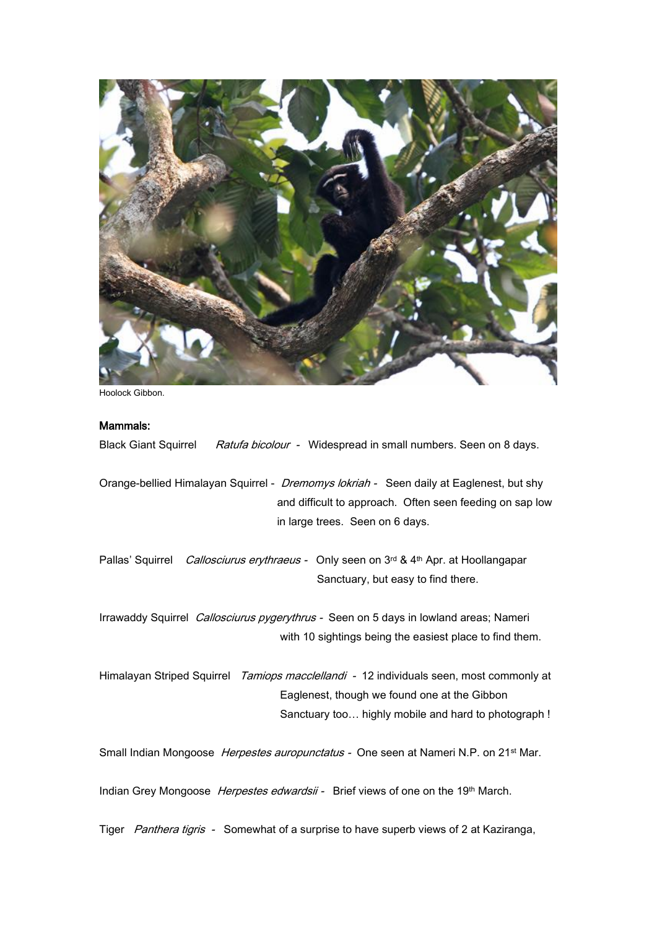

Hoolock Gibbon.

## Mammals:

Black Giant Squirrel Ratufa bicolour - Widespread in small numbers. Seen on 8 days.

Orange-bellied Himalayan Squirrel - *Dremomys lokriah* - Seen daily at Eaglenest, but shy and difficult to approach. Often seen feeding on sap low in large trees. Seen on 6 days.

Pallas' Squirrel Callosciurus erythraeus - Only seen on 3rd & 4th Apr. at Hoollangapar Sanctuary, but easy to find there.

Irrawaddy Squirrel Callosciurus pygerythrus - Seen on 5 days in lowland areas; Nameri with 10 sightings being the easiest place to find them.

Himalayan Striped Squirrel Tamiops macclellandi - 12 individuals seen, most commonly at Eaglenest, though we found one at the Gibbon Sanctuary too… highly mobile and hard to photograph !

Small Indian Mongoose *Herpestes auropunctatus* - One seen at Nameri N.P. on 21<sup>st</sup> Mar.

Indian Grey Mongoose *Herpestes edwardsii* - Brief views of one on the 19<sup>th</sup> March.

Tiger Panthera tigris - Somewhat of a surprise to have superb views of 2 at Kaziranga,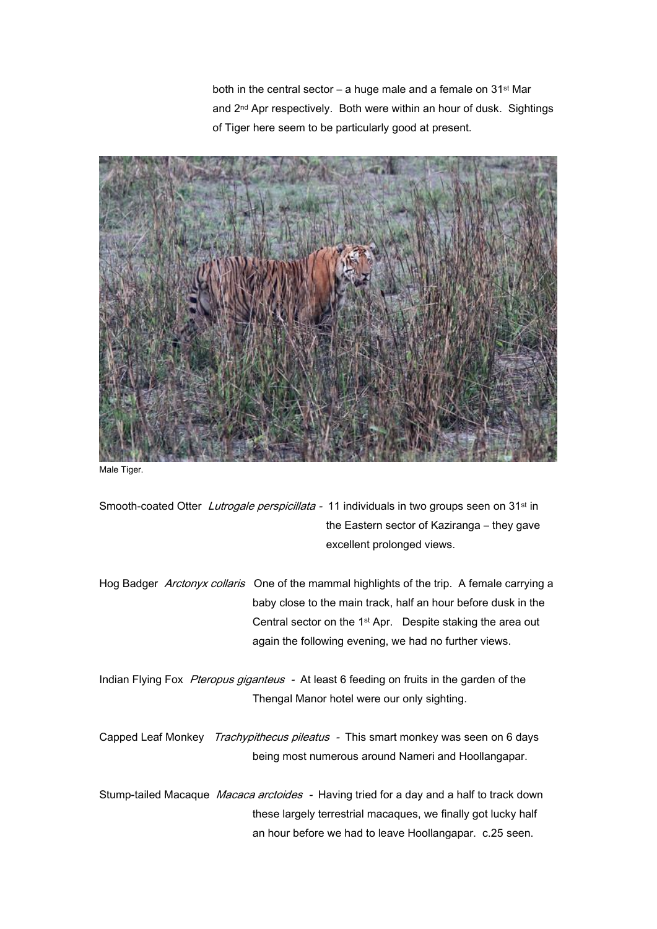both in the central sector – a huge male and a female on  $31^{st}$  Mar and 2nd Apr respectively. Both were within an hour of dusk. Sightings of Tiger here seem to be particularly good at present.



Male Tiger.

Smooth-coated Otter Lutrogale perspicillata - 11 individuals in two groups seen on 31<sup>st</sup> in the Eastern sector of Kaziranga – they gave excellent prolonged views.

Hog Badger Arctonyx collaris One of the mammal highlights of the trip. A female carrying a baby close to the main track, half an hour before dusk in the Central sector on the 1st Apr. Despite staking the area out again the following evening, we had no further views.

Indian Flying Fox Pteropus giganteus - At least 6 feeding on fruits in the garden of the Thengal Manor hotel were our only sighting.

Capped Leaf Monkey Trachypithecus pileatus - This smart monkey was seen on 6 days being most numerous around Nameri and Hoollangapar.

Stump-tailed Macaque *Macaca arctoides* - Having tried for a day and a half to track down these largely terrestrial macaques, we finally got lucky half an hour before we had to leave Hoollangapar. c.25 seen.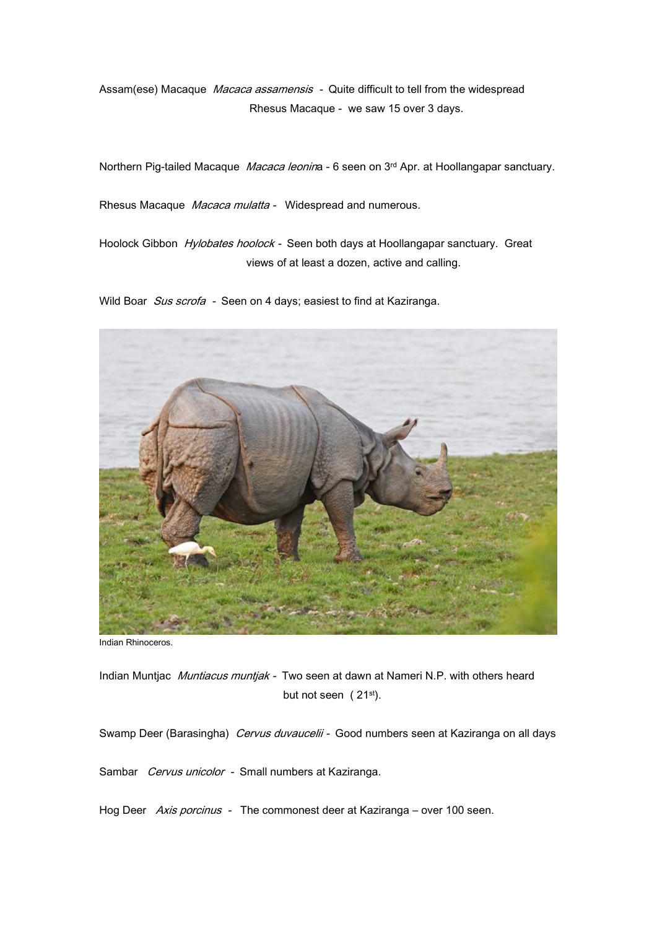Assam(ese) Macaque Macaca assamensis - Quite difficult to tell from the widespread Rhesus Macaque - we saw 15 over 3 days.

Northern Pig-tailed Macaque Macaca leonina - 6 seen on 3rd Apr. at Hoollangapar sanctuary.

Rhesus Macaque *Macaca mulatta* - Widespread and numerous.

Hoolock Gibbon Hylobates hoolock - Seen both days at Hoollangapar sanctuary. Great views of at least a dozen, active and calling.

Wild Boar Sus scrofa - Seen on 4 days; easiest to find at Kaziranga.



Indian Rhinoceros.

Indian Muntjac *Muntiacus muntjak* - Two seen at dawn at Nameri N.P. with others heard but not seen (21st).

Swamp Deer (Barasingha) Cervus duvaucelii - Good numbers seen at Kaziranga on all days

Sambar Cervus unicolor - Small numbers at Kaziranga.

Hog Deer Axis porcinus - The commonest deer at Kaziranga – over 100 seen.